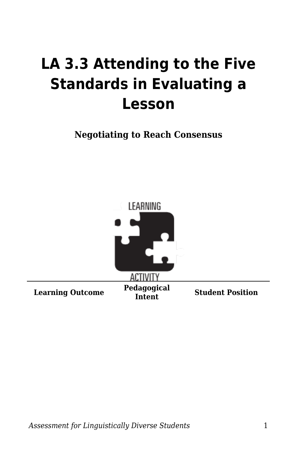## **LA 3.3 Attending to the Five Standards in Evaluating a Lesson**

**Negotiating to Reach Consensus**

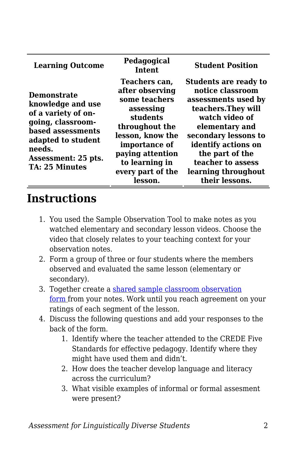| <b>Learning Outcome</b>                                                                                                                                                                  | Pedagogical<br><b>Intent</b>                                                                                                                                                                            | <b>Student Position</b>                                                                                                                                                                                                                                            |
|------------------------------------------------------------------------------------------------------------------------------------------------------------------------------------------|---------------------------------------------------------------------------------------------------------------------------------------------------------------------------------------------------------|--------------------------------------------------------------------------------------------------------------------------------------------------------------------------------------------------------------------------------------------------------------------|
| <b>Demonstrate</b><br>knowledge and use<br>of a variety of on-<br>going, classroom-<br>based assessments<br>adapted to student<br>needs.<br>Assessment: 25 pts.<br><b>TA: 25 Minutes</b> | Teachers can,<br>after observing<br>some teachers<br>assessing<br>students<br>throughout the<br>lesson, know the<br>importance of<br>paying attention<br>to learning in<br>every part of the<br>lesson. | <b>Students are ready to</b><br>notice classroom<br>assessments used by<br>teachers. They will<br>watch video of<br>elementary and<br>secondary lessons to<br>identify actions on<br>the part of the<br>teacher to assess<br>learning throughout<br>their lessons. |

## **Instructions**

- 1. You used the Sample Observation Tool to make notes as you watched elementary and secondary lesson videos. Choose the video that closely relates to your teaching context for your observation notes.
- 2. Form a group of three or four students where the members observed and evaluated the same lesson (elementary or secondary).
- 3. Together create a [shared sample classroom observation](https://byu.box.com/s/voa1zix1y9oujmn7eq4vjpxtknohrgqz) [form](https://byu.box.com/s/voa1zix1y9oujmn7eq4vjpxtknohrgqz) from your notes. Work until you reach agreement on your ratings of each segment of the lesson.
- 4. Discuss the following questions and add your responses to the back of the form.
	- 1. Identify where the teacher attended to the CREDE Five Standards for effective pedagogy. Identify where they might have used them and didn't.
	- 2. How does the teacher develop language and literacy across the curriculum?
	- 3. What visible examples of informal or formal assesment were present?